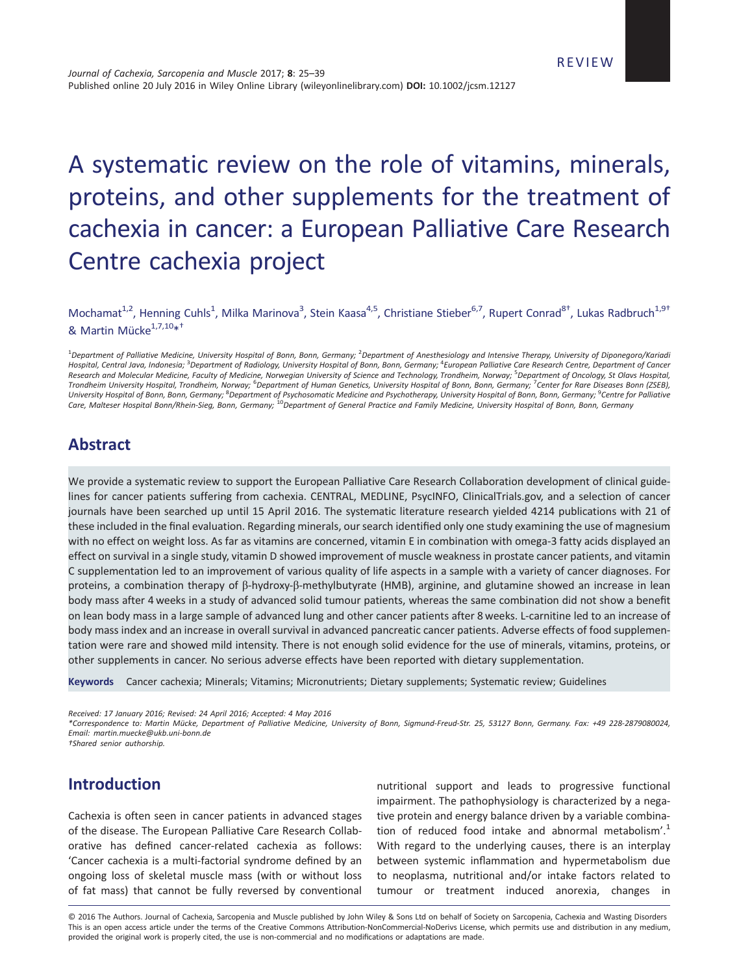# A systematic review on the role of vitamins, minerals, proteins, and other supplements for the treatment of cachexia in cancer: a European Palliative Care Research Centre cachexia project

Mochamat<sup>1,2</sup>, Henning Cuhls<sup>1</sup>, Milka Marinova<sup>3</sup>, Stein Kaasa<sup>4,5</sup>, Christiane Stieber<sup>6,7</sup>, Rupert Conrad<sup>8†</sup>, Lukas Radbruch<sup>1,9†</sup> & Martin Mücke<sup>1,7,10\*+</sup>

<sup>1</sup>Department of Palliative Medicine, University Hospital of Bonn, Bonn, Germany; <sup>2</sup>Department of Anesthesiology and Intensive Therapy, University of Diponegoro/Kariadi Hospital, Central Java, Indonesia; <sup>3</sup>Department of Radiology, University Hospital of Bonn, Bonn, Germany; <sup>4</sup>European Palliative Care Research Centre, Department of Cancer Research and Molecular Medicine, Faculty of Medicine, Norwegian University of Science and Technology, Trondheim, Norway; <sup>5</sup> Department of Oncology, St Olavs Hospital, Trondheim University Hospital, Trondheim, Norway; <sup>6</sup>Department of Human Genetics, University Hospital of Bonn, Bonn, Germany; <sup>7</sup>Center for Rare Diseases Bonn (ZSEB), University Hospital of Bonn, Bonn, Germany; <sup>8</sup>Department of Psychosomatic Medicine and Psychotherapy, University Hospital of Bonn, Gormany; <sup>9</sup>Centre for Palliative<br>Care, Malteser Hospital Bonn/Rhein-Sieg, Bonn, Germany;

# Abstract

We provide a systematic review to support the European Palliative Care Research Collaboration development of clinical guidelines for cancer patients suffering from cachexia. CENTRAL, MEDLINE, PsycINFO, ClinicalTrials.gov, and a selection of cancer journals have been searched up until 15 April 2016. The systematic literature research yielded 4214 publications with 21 of these included in the final evaluation. Regarding minerals, our search identified only one study examining the use of magnesium with no effect on weight loss. As far as vitamins are concerned, vitamin E in combination with omega-3 fatty acids displayed an effect on survival in a single study, vitamin D showed improvement of muscle weakness in prostate cancer patients, and vitamin C supplementation led to an improvement of various quality of life aspects in a sample with a variety of cancer diagnoses. For proteins, a combination therapy of β-hydroxy-β-methylbutyrate (HMB), arginine, and glutamine showed an increase in lean body mass after 4 weeks in a study of advanced solid tumour patients, whereas the same combination did not show a benefit on lean body mass in a large sample of advanced lung and other cancer patients after 8 weeks. L-carnitine led to an increase of body mass index and an increase in overall survival in advanced pancreatic cancer patients. Adverse effects of food supplementation were rare and showed mild intensity. There is not enough solid evidence for the use of minerals, vitamins, proteins, or other supplements in cancer. No serious adverse effects have been reported with dietary supplementation.

Keywords Cancer cachexia; Minerals; Vitamins; Micronutrients; Dietary supplements; Systematic review; Guidelines

Received: 17 January 2016; Revised: 24 April 2016; Accepted: 4 May 2016

\*Correspondence to: Martin Mücke, Department of Palliative Medicine, University of Bonn, Sigmund-Freud-Str. 25, 53127 Bonn, Germany. Fax: +49 228-2879080024, Email: martin.muecke@ukb.uni-bonn.de

†Shared senior authorship.

# Introduction

Cachexia is often seen in cancer patients in advanced stages of the disease. The European Palliative Care Research Collaborative has defined cancer-related cachexia as follows: 'Cancer cachexia is a multi-factorial syndrome defined by an ongoing loss of skeletal muscle mass (with or without loss of fat mass) that cannot be fully reversed by conventional

nutritional support and leads to progressive functional impairment. The pathophysiology is characterized by a negative protein and energy balance driven by a variable combination of reduced food intake and abnormal metabolism'.<sup>1</sup> With regard to the underlying causes, there is an interplay between systemic inflammation and hypermetabolism due to neoplasma, nutritional and/or intake factors related to tumour or treatment induced anorexia, changes in

© 2016 The Authors. Journal of Cachexia, Sarcopenia and Muscle published by John Wiley & Sons Ltd on behalf of Society on Sarcopenia, Cachexia and Wasting Disorders This is an open access article under the terms of the Creative Commons Attribution-NonCommercial-NoDerivs License, which permits use and distribution in any medium, provided the original work is properly cited, the use is non-commercial and no modifications or adaptations are made.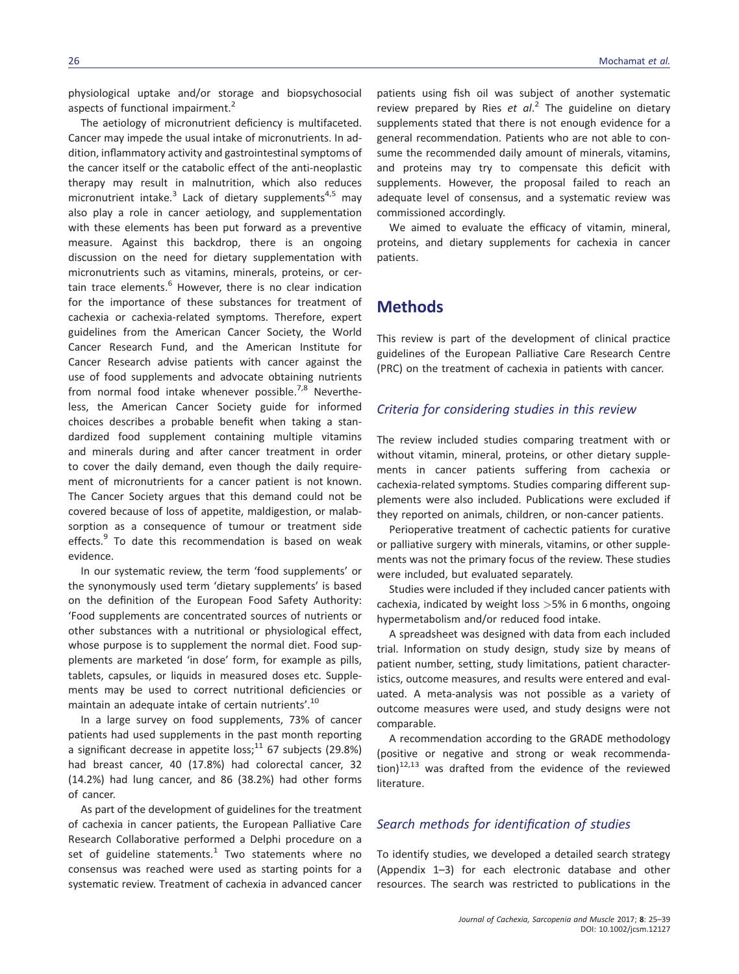physiological uptake and/or storage and biopsychosocial aspects of functional impairment.<sup>2</sup>

The aetiology of micronutrient deficiency is multifaceted. Cancer may impede the usual intake of micronutrients. In addition, inflammatory activity and gastrointestinal symptoms of the cancer itself or the catabolic effect of the anti-neoplastic therapy may result in malnutrition, which also reduces micronutrient intake.<sup>3</sup> Lack of dietary supplements<sup>4,5</sup> may also play a role in cancer aetiology, and supplementation with these elements has been put forward as a preventive measure. Against this backdrop, there is an ongoing discussion on the need for dietary supplementation with micronutrients such as vitamins, minerals, proteins, or certain trace elements.<sup>6</sup> However, there is no clear indication for the importance of these substances for treatment of cachexia or cachexia-related symptoms. Therefore, expert guidelines from the American Cancer Society, the World Cancer Research Fund, and the American Institute for Cancer Research advise patients with cancer against the use of food supplements and advocate obtaining nutrients from normal food intake whenever possible.<sup>7,8</sup> Nevertheless, the American Cancer Society guide for informed choices describes a probable benefit when taking a standardized food supplement containing multiple vitamins and minerals during and after cancer treatment in order to cover the daily demand, even though the daily requirement of micronutrients for a cancer patient is not known. The Cancer Society argues that this demand could not be covered because of loss of appetite, maldigestion, or malabsorption as a consequence of tumour or treatment side effects.<sup>9</sup> To date this recommendation is based on weak evidence.

In our systematic review, the term 'food supplements' or the synonymously used term 'dietary supplements' is based on the definition of the European Food Safety Authority: 'Food supplements are concentrated sources of nutrients or other substances with a nutritional or physiological effect, whose purpose is to supplement the normal diet. Food supplements are marketed 'in dose' form, for example as pills, tablets, capsules, or liquids in measured doses etc. Supplements may be used to correct nutritional deficiencies or maintain an adequate intake of certain nutrients'. 10

In a large survey on food supplements, 73% of cancer patients had used supplements in the past month reporting a significant decrease in appetite loss;<sup>11</sup> 67 subjects (29.8%) had breast cancer, 40 (17.8%) had colorectal cancer, 32 (14.2%) had lung cancer, and 86 (38.2%) had other forms of cancer.

As part of the development of guidelines for the treatment of cachexia in cancer patients, the European Palliative Care Research Collaborative performed a Delphi procedure on a set of guideline statements.<sup>1</sup> Two statements where no consensus was reached were used as starting points for a systematic review. Treatment of cachexia in advanced cancer patients using fish oil was subject of another systematic review prepared by Ries et al.<sup>2</sup> The guideline on dietary supplements stated that there is not enough evidence for a general recommendation. Patients who are not able to consume the recommended daily amount of minerals, vitamins, and proteins may try to compensate this deficit with supplements. However, the proposal failed to reach an adequate level of consensus, and a systematic review was commissioned accordingly.

We aimed to evaluate the efficacy of vitamin, mineral, proteins, and dietary supplements for cachexia in cancer patients.

# **Methods**

This review is part of the development of clinical practice guidelines of the European Palliative Care Research Centre (PRC) on the treatment of cachexia in patients with cancer.

## Criteria for considering studies in this review

The review included studies comparing treatment with or without vitamin, mineral, proteins, or other dietary supplements in cancer patients suffering from cachexia or cachexia-related symptoms. Studies comparing different supplements were also included. Publications were excluded if they reported on animals, children, or non-cancer patients.

Perioperative treatment of cachectic patients for curative or palliative surgery with minerals, vitamins, or other supplements was not the primary focus of the review. These studies were included, but evaluated separately.

Studies were included if they included cancer patients with cachexia, indicated by weight loss  $>5%$  in 6 months, ongoing hypermetabolism and/or reduced food intake.

A spreadsheet was designed with data from each included trial. Information on study design, study size by means of patient number, setting, study limitations, patient characteristics, outcome measures, and results were entered and evaluated. A meta-analysis was not possible as a variety of outcome measures were used, and study designs were not comparable.

A recommendation according to the GRADE methodology (positive or negative and strong or weak recommendation) $12,13$  was drafted from the evidence of the reviewed literature.

## Search methods for identification of studies

To identify studies, we developed a detailed search strategy (Appendix 1–3) for each electronic database and other resources. The search was restricted to publications in the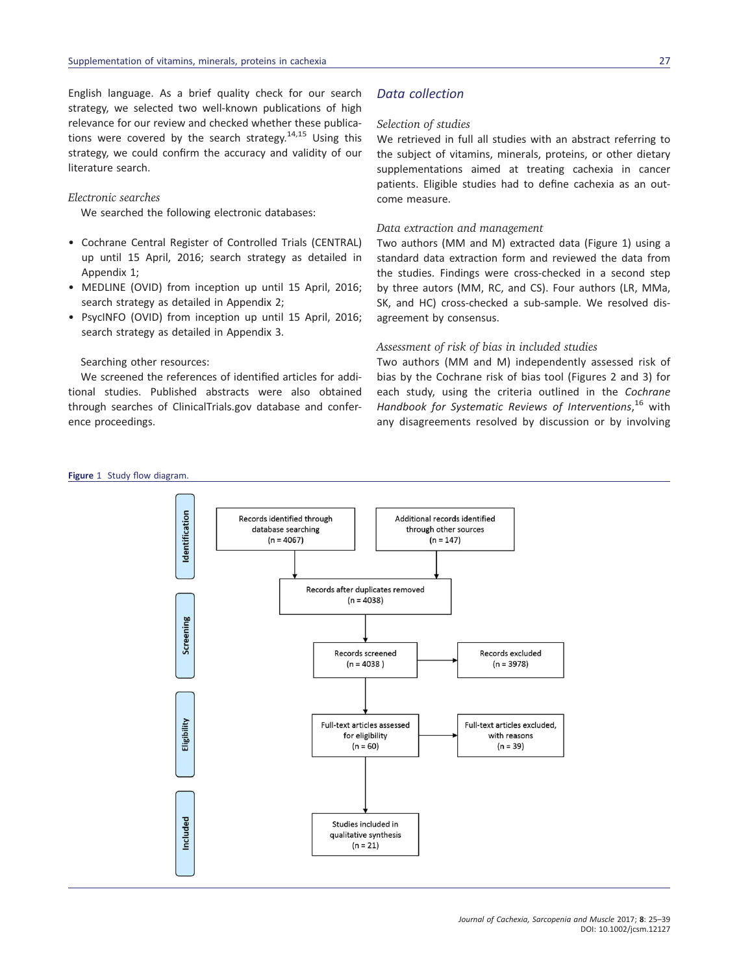English language. As a brief quality check for our search strategy, we selected two well-known publications of high relevance for our review and checked whether these publications were covered by the search strategy.<sup>14,15</sup> Using this strategy, we could confirm the accuracy and validity of our literature search.

#### Electronic searches

We searched the following electronic databases:

- Cochrane Central Register of Controlled Trials (CENTRAL) up until 15 April, 2016; search strategy as detailed in Appendix 1;
- MEDLINE (OVID) from inception up until 15 April, 2016; search strategy as detailed in Appendix 2;
- PsycINFO (OVID) from inception up until 15 April, 2016; search strategy as detailed in Appendix 3.

#### Searching other resources:

We screened the references of identified articles for additional studies. Published abstracts were also obtained through searches of ClinicalTrials.gov database and conference proceedings.

## Data collection

#### Selection of studies

We retrieved in full all studies with an abstract referring to the subject of vitamins, minerals, proteins, or other dietary supplementations aimed at treating cachexia in cancer patients. Eligible studies had to define cachexia as an outcome measure.

## Data extraction and management

Two authors (MM and M) extracted data (Figure 1) using a standard data extraction form and reviewed the data from the studies. Findings were cross-checked in a second step by three autors (MM, RC, and CS). Four authors (LR, MMa, SK, and HC) cross-checked a sub-sample. We resolved disagreement by consensus.

#### Assessment of risk of bias in included studies

Two authors (MM and M) independently assessed risk of bias by the Cochrane risk of bias tool (Figures 2 and 3) for each study, using the criteria outlined in the Cochrane Handbook for Systematic Reviews of Interventions,<sup>16</sup> with any disagreements resolved by discussion or by involving

#### Figure 1 Study flow diagram.

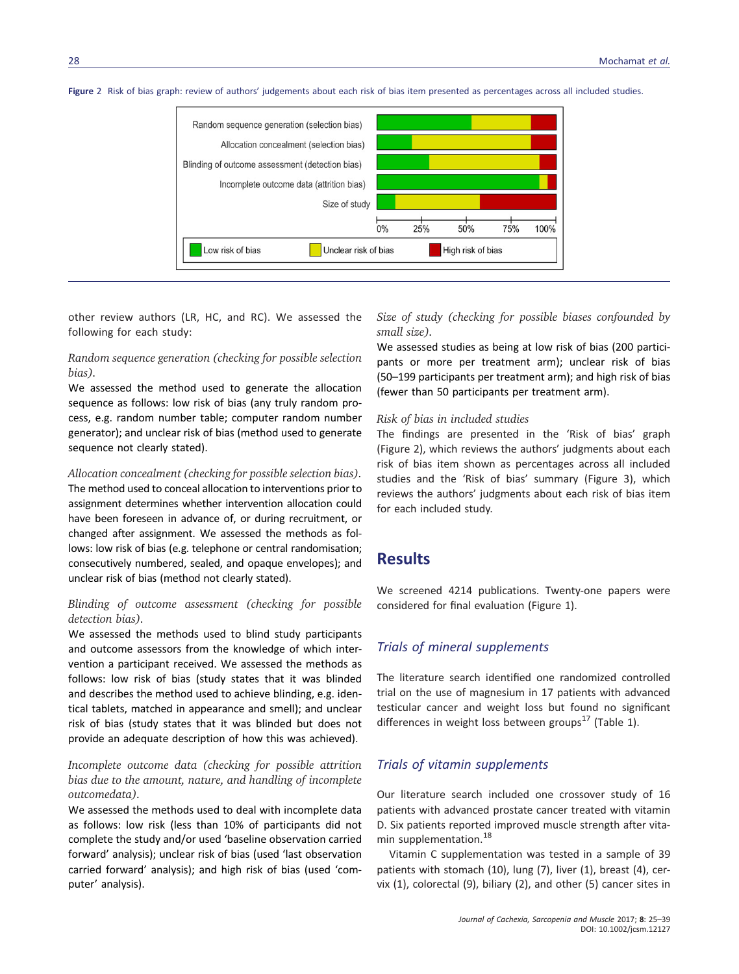



other review authors (LR, HC, and RC). We assessed the following for each study:

## Random sequence generation (checking for possible selection bias).

We assessed the method used to generate the allocation sequence as follows: low risk of bias (any truly random process, e.g. random number table; computer random number generator); and unclear risk of bias (method used to generate sequence not clearly stated).

#### Allocation concealment (checking for possible selection bias).

The method used to conceal allocation to interventions prior to assignment determines whether intervention allocation could have been foreseen in advance of, or during recruitment, or changed after assignment. We assessed the methods as follows: low risk of bias (e.g. telephone or central randomisation; consecutively numbered, sealed, and opaque envelopes); and unclear risk of bias (method not clearly stated).

#### Blinding of outcome assessment (checking for possible detection bias).

We assessed the methods used to blind study participants and outcome assessors from the knowledge of which intervention a participant received. We assessed the methods as follows: low risk of bias (study states that it was blinded and describes the method used to achieve blinding, e.g. identical tablets, matched in appearance and smell); and unclear risk of bias (study states that it was blinded but does not provide an adequate description of how this was achieved).

## Incomplete outcome data (checking for possible attrition bias due to the amount, nature, and handling of incomplete outcomedata).

We assessed the methods used to deal with incomplete data as follows: low risk (less than 10% of participants did not complete the study and/or used 'baseline observation carried forward' analysis); unclear risk of bias (used 'last observation carried forward' analysis); and high risk of bias (used 'computer' analysis).

Size of study (checking for possible biases confounded by small size).

We assessed studies as being at low risk of bias (200 participants or more per treatment arm); unclear risk of bias (50–199 participants per treatment arm); and high risk of bias (fewer than 50 participants per treatment arm).

#### Risk of bias in included studies

The findings are presented in the 'Risk of bias' graph (Figure 2), which reviews the authors' judgments about each risk of bias item shown as percentages across all included studies and the 'Risk of bias' summary (Figure 3), which reviews the authors' judgments about each risk of bias item for each included study.

# **Results**

We screened 4214 publications. Twenty-one papers were considered for final evaluation (Figure 1).

#### Trials of mineral supplements

The literature search identified one randomized controlled trial on the use of magnesium in 17 patients with advanced testicular cancer and weight loss but found no significant differences in weight loss between groups<sup>17</sup> (Table 1).

## Trials of vitamin supplements

Our literature search included one crossover study of 16 patients with advanced prostate cancer treated with vitamin D. Six patients reported improved muscle strength after vitamin supplementation.<sup>18</sup>

Vitamin C supplementation was tested in a sample of 39 patients with stomach (10), lung (7), liver (1), breast (4), cervix (1), colorectal (9), biliary (2), and other (5) cancer sites in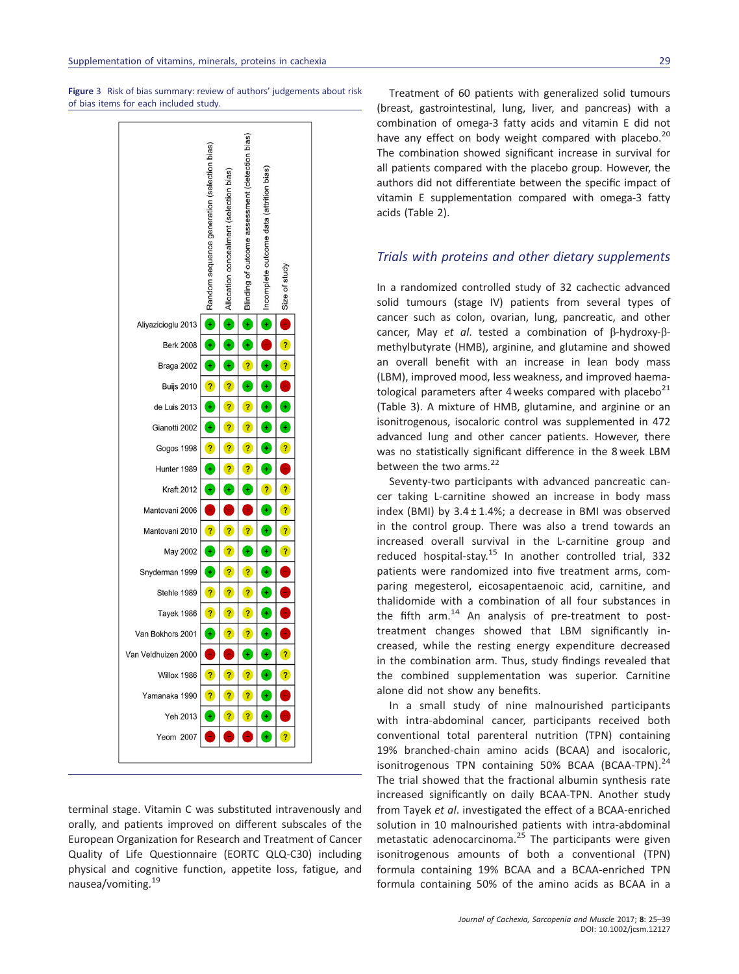Figure 3 Risk of bias summary: review of authors' judgements about risk of bias items for each included study.



terminal stage. Vitamin C was substituted intravenously and orally, and patients improved on different subscales of the European Organization for Research and Treatment of Cancer Quality of Life Questionnaire (EORTC QLQ-C30) including physical and cognitive function, appetite loss, fatigue, and nausea/vomiting.<sup>19</sup>

Treatment of 60 patients with generalized solid tumours (breast, gastrointestinal, lung, liver, and pancreas) with a combination of omega-3 fatty acids and vitamin E did not have any effect on body weight compared with placebo.<sup>20</sup> The combination showed significant increase in survival for all patients compared with the placebo group. However, the authors did not differentiate between the specific impact of vitamin E supplementation compared with omega-3 fatty acids (Table 2).

## Trials with proteins and other dietary supplements

In a randomized controlled study of 32 cachectic advanced solid tumours (stage IV) patients from several types of cancer such as colon, ovarian, lung, pancreatic, and other cancer, May et al. tested a combination of β-hydroxy-βmethylbutyrate (HMB), arginine, and glutamine and showed an overall benefit with an increase in lean body mass (LBM), improved mood, less weakness, and improved haematological parameters after 4 weeks compared with placebo $^{21}$ (Table 3). A mixture of HMB, glutamine, and arginine or an isonitrogenous, isocaloric control was supplemented in 472 advanced lung and other cancer patients. However, there was no statistically significant difference in the 8 week LBM between the two arms.<sup>22</sup>

Seventy-two participants with advanced pancreatic cancer taking L-carnitine showed an increase in body mass index (BMI) by  $3.4 \pm 1.4$ %; a decrease in BMI was observed in the control group. There was also a trend towards an increased overall survival in the L-carnitine group and reduced hospital-stay.<sup>15</sup> In another controlled trial, 332 patients were randomized into five treatment arms, comparing megesterol, eicosapentaenoic acid, carnitine, and thalidomide with a combination of all four substances in the fifth arm. $14$  An analysis of pre-treatment to posttreatment changes showed that LBM significantly increased, while the resting energy expenditure decreased in the combination arm. Thus, study findings revealed that the combined supplementation was superior. Carnitine alone did not show any benefits.

In a small study of nine malnourished participants with intra-abdominal cancer, participants received both conventional total parenteral nutrition (TPN) containing 19% branched-chain amino acids (BCAA) and isocaloric, isonitrogenous TPN containing 50% BCAA (BCAA-TPN). $^{24}$ The trial showed that the fractional albumin synthesis rate increased significantly on daily BCAA-TPN. Another study from Tayek et al. investigated the effect of a BCAA-enriched solution in 10 malnourished patients with intra-abdominal metastatic adenocarcinoma.<sup>25</sup> The participants were given isonitrogenous amounts of both a conventional (TPN) formula containing 19% BCAA and a BCAA-enriched TPN formula containing 50% of the amino acids as BCAA in a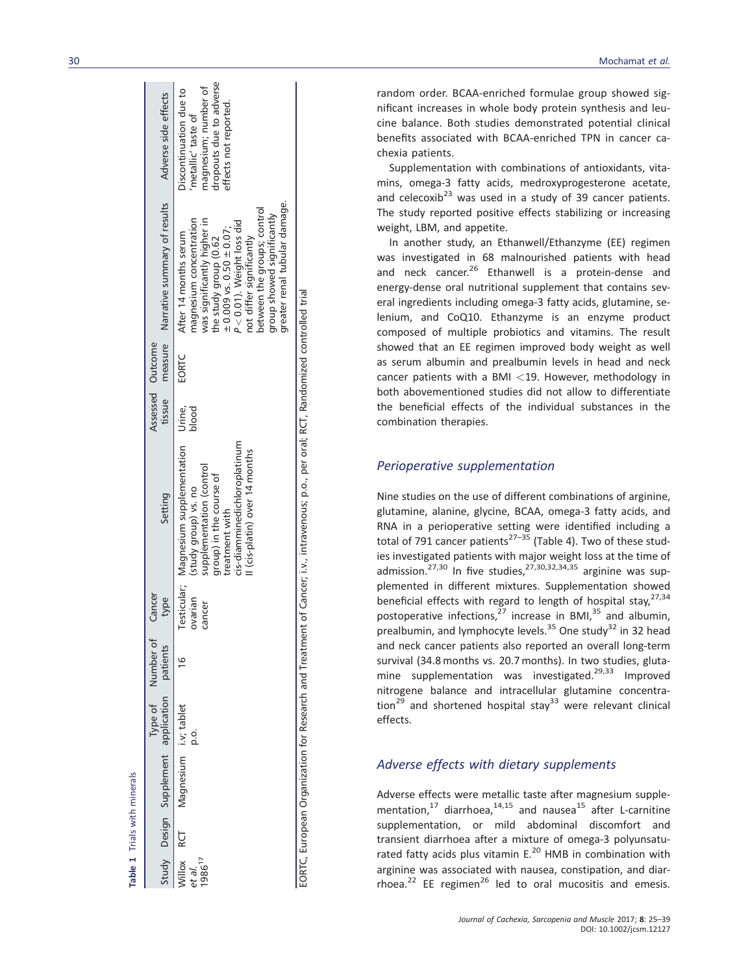|                                                         | Study Design Supplement application patients |     | Type of Number of | Cancer<br>type    | Setting                                                                                                                                                                                                        | tissue | Assessed Outcome | measure Narrative summary of results                                                                                                                                                                                                                                                                     | Adverse side effects                                                                                                    |
|---------------------------------------------------------|----------------------------------------------|-----|-------------------|-------------------|----------------------------------------------------------------------------------------------------------------------------------------------------------------------------------------------------------------|--------|------------------|----------------------------------------------------------------------------------------------------------------------------------------------------------------------------------------------------------------------------------------------------------------------------------------------------------|-------------------------------------------------------------------------------------------------------------------------|
| Villox<br>RCT<br><sup>ot al.</sup><br>986 <sup>17</sup> | Magnesium i.v; tablet                        | 0.0 |                   | ovarian<br>cancer | Testicular; Magnesium supplementation Urine,<br>cis-diamminedichloroplatinum<br>I (cis-platin) over 14 months<br>supplementation (control<br>group) in the course of<br>(study group) vs. no<br>treatment with | blood  | EORTC            | greater renal tubular damage.<br>between the groups; control<br>group showed significantly<br>magnesium concentration<br>was significantly higher in<br>$P < 0.01$ ). Weight loss did<br>$\pm 0.009$ vs. 0.50 $\pm 0.07$ ;<br>After 14 months serum<br>not differ significantly<br>the study group (0.62 | dropouts due to adverse<br>magnesium; number of<br>Discontinuation due to<br>effects not reported<br>metallic' taste of |
| <br> <br> <br>                                          |                                              |     |                   |                   |                                                                                                                                                                                                                |        |                  | $\frac{1}{2}$                                                                                                                                                                                                                                                                                            |                                                                                                                         |

Table 1 Trials with minerals Trials with minerals

EORTC, European Organization for Research and Treatment of Cancer; i.v., intravenous; p.o., per oral; RCT, Randomized controlled trial EORTC, European Organization for Research and Treatment of Cancer; i.v., intravenous; p.o., per oral; RCT, Randomized controlled trial

30 Mochamat et al.

random order. BCAA-enriched formulae group showed significant increases in whole body protein synthesis and leucine balance. Both studies demonstrated potential clinical bene fits associated with BCAA-enriched TPN in cancer cachexia patients.

Supplementation with combinations of antioxidants, vitamins, omega-3 fatty acids, medroxyprogesterone acetate, and celecoxib<sup>23</sup> was used in a study of 39 cancer patients. The study reported positive effects stabilizing or increasing weight, LBM, and appetite.

In another study, an Ethanwell/Ethanzyme (EE) regimen was investigated in 68 malnourished patients with head and neck cancer.<sup>26</sup> Ethanwell is a protein-dense and energy-dense oral nutritional supplement that contains several ingredients including omega-3 fatty acids, glutamine, selenium, and CoQ10. Ethanzyme is an enzyme product composed of multiple probiotics and vitamins. The result showed that an EE regimen improved body weight as well as serum albumin and prealbumin levels in head and neck cancer patients with a BMI <19. However, methodology in both abovementioned studies did not allow to differentiate the bene ficial effects of the individual substances in the combination therapies.

## Perioperative supplementation

Nine studies on the use of different combinations of arginine, glutamine, alanine, glycine, BCAA, omega-3 fatty acids, and RNA in a perioperative setting were identi fied including a total of 791 cancer patients<sup>27–35</sup> (Table 4). Two of these studies investigated patients with major weight loss at the time of admission.<sup>27,30</sup> In five studies,<sup>27,30,32,34,35</sup> arginine was supplemented in different mixtures. Supplementation showed beneficial effects with regard to length of hospital stay, 27,34 postoperative infections,<sup>27</sup> increase in BMI,<sup>35</sup> and albumin, prealbumin, and lymphocyte levels.<sup>35</sup> One study<sup>32</sup> in 32 head and neck cancer patients also reported an overall long-term survival (34.8 months vs. 20.7 months). In two studies, glutamine supplementation was investigated.<sup>29,33</sup> Improved nitrogene balance and intracellular glutamine concentration<sup>29</sup> and shortened hospital stay<sup>33</sup> were relevant clinical effects.

## Adverse effects with dietary supplements

Adverse effects were metallic taste after magnesium supplementation,<sup>17</sup> diarrhoea,<sup>14,15</sup> and nausea<sup>15</sup> after L-carnitine supplementation, or mild abdominal discomfort and transient diarrhoea after a mixture of omega-3 polyunsaturated fatty acids plus vitamin  $E^{20}$  HMB in combination with arginine was associated with nausea, constipation, and diarrhoea.<sup>22</sup> EE regimen<sup>26</sup> led to oral mucositis and emesis.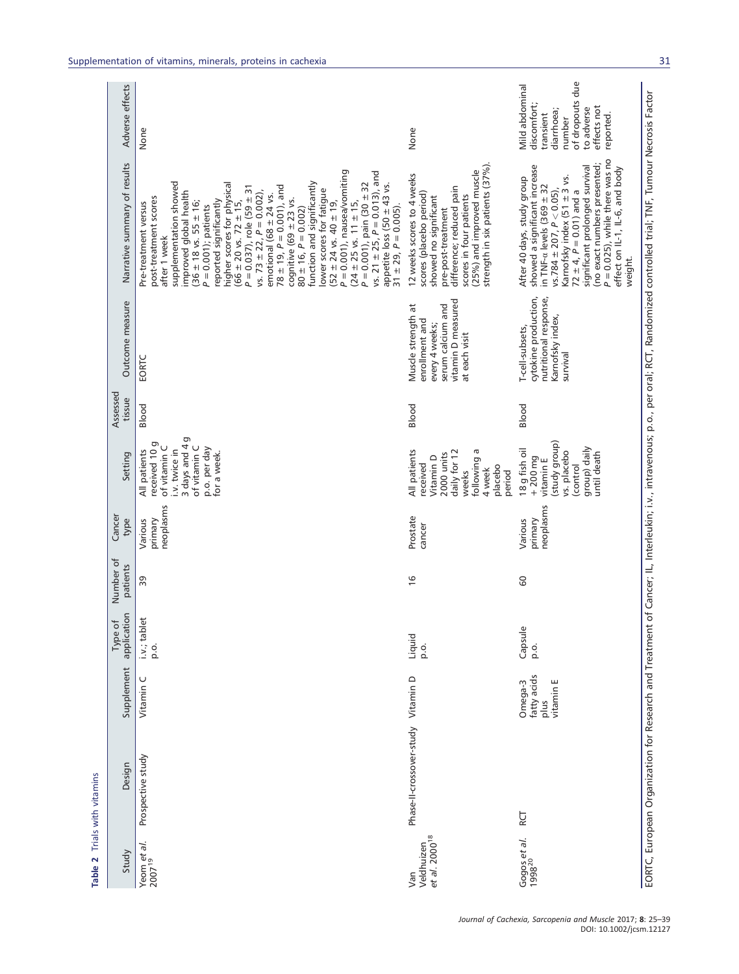| Study                                          | Design                             | Supplement                                  | application<br>$\overline{\sigma}$<br>Type | Number of<br>patients | Cancer<br>type                  | Setting                                                                                                                        | Assessed<br>tissue | Outcome measure                                                                                                    | Narrative summary of results                                                                                                                                                                                                                                                                                                                                                                                                                                                                                                                                                                                                                                                                                                                                                                                               | Adverse effects                                                                                                                 |
|------------------------------------------------|------------------------------------|---------------------------------------------|--------------------------------------------|-----------------------|---------------------------------|--------------------------------------------------------------------------------------------------------------------------------|--------------------|--------------------------------------------------------------------------------------------------------------------|----------------------------------------------------------------------------------------------------------------------------------------------------------------------------------------------------------------------------------------------------------------------------------------------------------------------------------------------------------------------------------------------------------------------------------------------------------------------------------------------------------------------------------------------------------------------------------------------------------------------------------------------------------------------------------------------------------------------------------------------------------------------------------------------------------------------------|---------------------------------------------------------------------------------------------------------------------------------|
| Yeom et al.<br>$2007^{19}$                     | Prospective study                  | Vitamin C                                   | blet<br>i.v.; tak<br>o.                    | 39                    | neoplasms<br>primary<br>Various | 3 days and 4g<br>received 10 g<br>of vitamin C<br>of vitamin C<br>p.o. per day<br>i.v. twice in<br>All patients<br>for a week. | Blood              | EORTC                                                                                                              | $P = 0.001$ ), nausea/vomiting<br>vs. $21 \pm 25$ , $P = 0.013$ ), and<br>supplementation showed<br>higher scores for physical<br>$P = 0.001$ ), pain $(30 \pm 32)$<br>function and significantly<br>appetite loss $(50 \pm 43 \text{ vs.})$<br>$78 \pm 19$ , $P = 0.001$ ), and<br>$P = 0.037$ ), role (59 ± 31<br>lower scores for fatigue<br>vs. $73 \pm 22$ , $P = 0.002$ ),<br>improved global health<br>emotional (68 $\pm$ 24 vs.<br>post-treatment scores<br>cognitive (69 $\pm$ 23 vs.<br>$(66 \pm 20 \text{ vs. } 72 \pm 15,$<br>reported significantly<br>$(24 \pm 25 \text{ vs. } 11 \pm 15,$<br>$(36 \pm 18 \text{ vs. } 55 \pm 16)$<br>Pre-treatment versus<br>$(52 \pm 24 \text{ vs. } 40 \pm 19)$<br>$31 \pm 29$ , $P = 0.005$ ).<br>$P = 0.001$ ; patients<br>$80 \pm 16$ , $P = 0.002$ )<br>after 1 week | None                                                                                                                            |
| et al. 2000 <sup>18</sup><br>Veldhuizen<br>Van | Phase-Il-crossover-study Vitamin D |                                             | Liquid<br>0.0                              | $\frac{6}{2}$         | Prostate<br>cancer              | All patients<br>daily for 12<br>following a<br>2000 units<br>Vitamin D<br>received<br>placebo<br>4 week<br>period<br>weeks     | Blood              | vitamin D measured<br>serum calcium and<br>Muscle strength at<br>enrollment and<br>every 4 weeks;<br>at each visit | strength in six patients (37%)<br>(25%) and improved muscle<br>12 weeks scores to 4 weeks<br>difference; reduced pain<br>scores (placebo period)<br>scores in four patients<br>showed no significant<br>pre-post-treatment                                                                                                                                                                                                                                                                                                                                                                                                                                                                                                                                                                                                 | None                                                                                                                            |
| Gogos et al.<br>1998 <sup>20</sup>             | RСТ                                | fatty acids<br>vitamin E<br>Omega-3<br>plus | Capsule<br>o.o                             | 60                    | neoplasms<br>primary<br>Various | (study group)<br>group) daily<br>18 g fish oil<br>vs. placebo<br>until death<br>$+200$ mg<br>vitamin E<br>(control             | Blood              | cytokine production,<br>nutritional response,<br>Karnofsky index,<br>T-cell-subsets,<br>survival                   | $P = 0.025$ ), while there was no<br>(no exact numbers presented;<br>showed a significant increase<br>significant prolonged survival<br>effect on IL-1, IL-6, and body<br>Karnofsky index (51 ± 3 vs.<br>After 40 days, study group<br>in TNF- $\alpha$ levels (369 $\pm$ 32<br>vs.784 $\pm$ 207, $P < 0.05$ ),<br>$72 \pm 4$ , $P = 0.01$ ) and a<br>weight.                                                                                                                                                                                                                                                                                                                                                                                                                                                              | of dropouts due<br>Mild abdominal<br>discomfort;<br>effects not<br>to adverse<br>diarrhoea;<br>transient<br>reported.<br>number |
|                                                |                                    |                                             |                                            |                       |                                 |                                                                                                                                |                    |                                                                                                                    | EORTC, European Organization for Research and Treatment of Cancer; IL, Interleukin; i.v., intravenous; p.o., per oral; RGT, Randomized controlled trial; TNF, Tumour Necrosis Factor                                                                                                                                                                                                                                                                                                                                                                                                                                                                                                                                                                                                                                       |                                                                                                                                 |

Table 2 Trials with vitamins

Table 2 Trials with vitamins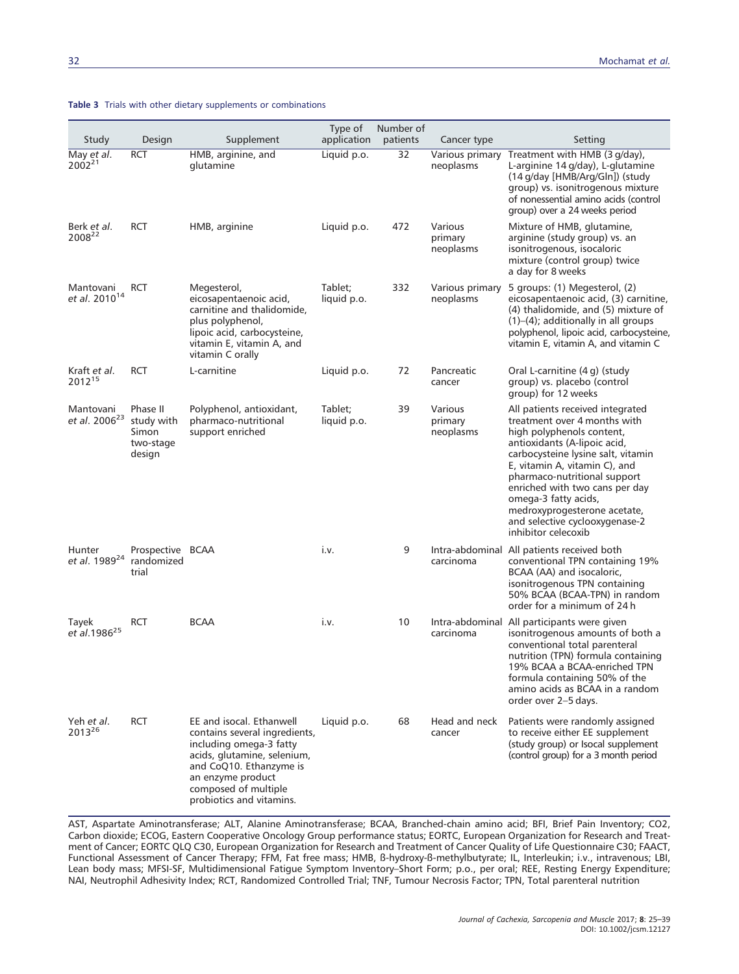|                                          |                                                        |                                                                                                                                                                                                                         | Type of                | Number of       |                                 |                                                                                                                                                                                                                                                                                                                                                                                         |
|------------------------------------------|--------------------------------------------------------|-------------------------------------------------------------------------------------------------------------------------------------------------------------------------------------------------------------------------|------------------------|-----------------|---------------------------------|-----------------------------------------------------------------------------------------------------------------------------------------------------------------------------------------------------------------------------------------------------------------------------------------------------------------------------------------------------------------------------------------|
| Study                                    | Design                                                 | Supplement                                                                                                                                                                                                              | application            | patients        | Cancer type                     | Setting                                                                                                                                                                                                                                                                                                                                                                                 |
| May et al.<br>$2002^{21}$                | <b>RCT</b>                                             | HMB, arginine, and<br>glutamine                                                                                                                                                                                         | Liquid p.o.            | $\overline{32}$ | Various primary<br>neoplasms    | Treatment with HMB (3 g/day),<br>L-arginine 14 g/day), L-glutamine<br>(14 g/day [HMB/Arg/Gln]) (study<br>group) vs. isonitrogenous mixture<br>of nonessential amino acids (control<br>group) over a 24 weeks period                                                                                                                                                                     |
| Berk et al.<br>2008 <sup>22</sup>        | <b>RCT</b>                                             | HMB, arginine                                                                                                                                                                                                           | Liquid p.o.            | 472             | Various<br>primary<br>neoplasms | Mixture of HMB, glutamine,<br>arginine (study group) vs. an<br>isonitrogenous, isocaloric<br>mixture (control group) twice<br>a day for 8 weeks                                                                                                                                                                                                                                         |
| Mantovani<br>et al. 2010 <sup>14</sup>   | <b>RCT</b>                                             | Megesterol,<br>eicosapentaenoic acid,<br>carnitine and thalidomide,<br>plus polyphenol,<br>lipoic acid, carbocysteine,<br>vitamin E, vitamin A, and<br>vitamin C orally                                                 | Tablet:<br>liquid p.o. | 332             | Various primary<br>neoplasms    | 5 groups: (1) Megesterol, (2)<br>eicosapentaenoic acid, (3) carnitine,<br>(4) thalidomide, and (5) mixture of<br>$(1)$ – $(4)$ ; additionally in all groups<br>polyphenol, lipoic acid, carbocysteine,<br>vitamin E, vitamin A, and vitamin C                                                                                                                                           |
| Kraft et al.<br>2012 <sup>15</sup>       | <b>RCT</b>                                             | L-carnitine                                                                                                                                                                                                             | Liquid p.o.            | 72              | Pancreatic<br>cancer            | Oral L-carnitine (4 g) (study<br>group) vs. placebo (control<br>group) for 12 weeks                                                                                                                                                                                                                                                                                                     |
| Mantovani<br>et al. 2006 <sup>23</sup>   | Phase II<br>study with<br>Simon<br>two-stage<br>design | Polyphenol, antioxidant,<br>pharmaco-nutritional<br>support enriched                                                                                                                                                    | Tablet;<br>liquid p.o. | 39              | Various<br>primary<br>neoplasms | All patients received integrated<br>treatment over 4 months with<br>high polyphenols content,<br>antioxidants (A-lipoic acid,<br>carbocysteine lysine salt, vitamin<br>E, vitamin A, vitamin C), and<br>pharmaco-nutritional support<br>enriched with two cans per day<br>omega-3 fatty acids,<br>medroxyprogesterone acetate,<br>and selective cyclooxygenase-2<br>inhibitor celecoxib |
| Hunter<br>et al. 1989 <sup>24</sup>      | Prospective BCAA<br>randomized<br>trial                |                                                                                                                                                                                                                         | i.v.                   | 9               | carcinoma                       | Intra-abdominal All patients received both<br>conventional TPN containing 19%<br>BCAA (AA) and isocaloric,<br>isonitrogenous TPN containing<br>50% BCAA (BCAA-TPN) in random<br>order for a minimum of 24h                                                                                                                                                                              |
| Tayek<br>et al.1986 <sup>25</sup>        | <b>RCT</b>                                             | <b>BCAA</b>                                                                                                                                                                                                             | i.v.                   | 10              | carcinoma                       | Intra-abdominal All participants were given<br>isonitrogenous amounts of both a<br>conventional total parenteral<br>nutrition (TPN) formula containing<br>19% BCAA a BCAA-enriched TPN<br>formula containing 50% of the<br>amino acids as BCAA in a random<br>order over 2-5 days.                                                                                                      |
| Yeh <i>et al</i> .<br>2013 <sup>26</sup> | <b>RCT</b>                                             | EE and isocal. Ethanwell<br>contains several ingredients,<br>including omega-3 fatty<br>acids, glutamine, selenium,<br>and CoQ10. Ethanzyme is<br>an enzyme product<br>composed of multiple<br>probiotics and vitamins. | Liquid p.o.            | 68              | Head and neck<br>cancer         | Patients were randomly assigned<br>to receive either EE supplement<br>(study group) or Isocal supplement<br>(control group) for a 3 month period                                                                                                                                                                                                                                        |

#### Table 3 Trials with other dietary supplements or combinations

AST, Aspartate Aminotransferase; ALT, Alanine Aminotransferase; BCAA, Branched-chain amino acid; BFI, Brief Pain Inventory; CO2, Carbon dioxide; ECOG, Eastern Cooperative Oncology Group performance status; EORTC, European Organization for Research and Treatment of Cancer; EORTC QLQ C30, European Organization for Research and Treatment of Cancer Quality of Life Questionnaire C30; FAACT, Functional Assessment of Cancer Therapy; FFM, Fat free mass; HMB, ß-hydroxy-ß-methylbutyrate; IL, Interleukin; i.v., intravenous; LBI, Lean body mass; MFSI-SF, Multidimensional Fatigue Symptom Inventory–Short Form; p.o., per oral; REE, Resting Energy Expenditure; NAI, Neutrophil Adhesivity Index; RCT, Randomized Controlled Trial; TNF, Tumour Necrosis Factor; TPN, Total parenteral nutrition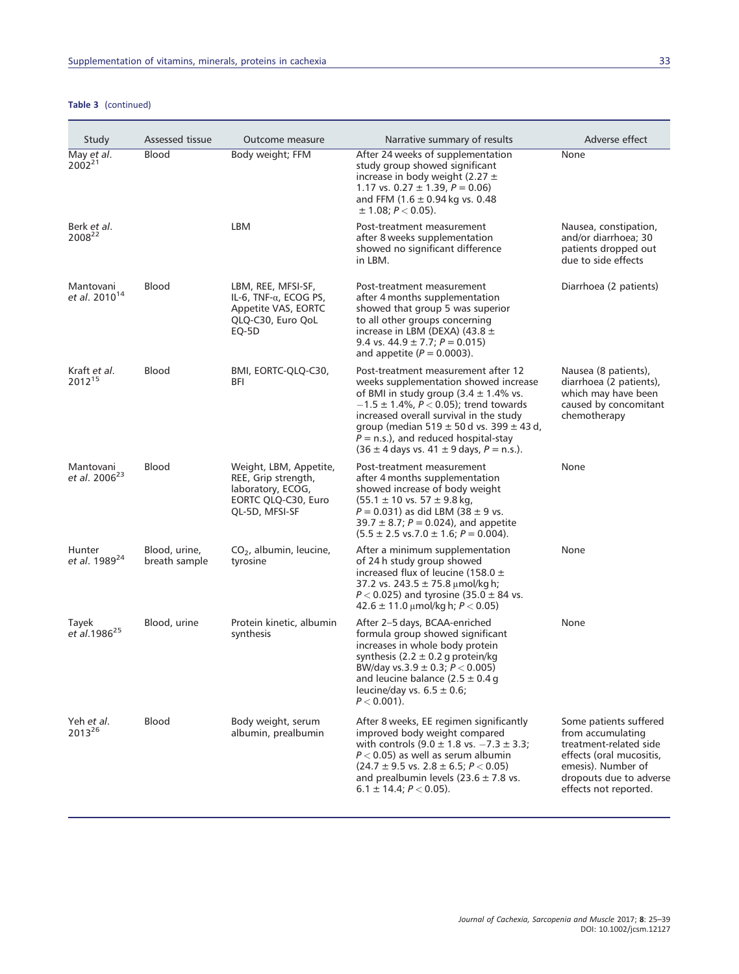## Table 3 (continued)

| Study                                    | Assessed tissue                | Outcome measure                                                                                             | Narrative summary of results                                                                                                                                                                                                                                                                                                                                                                      | Adverse effect                                                                                                                                                              |
|------------------------------------------|--------------------------------|-------------------------------------------------------------------------------------------------------------|---------------------------------------------------------------------------------------------------------------------------------------------------------------------------------------------------------------------------------------------------------------------------------------------------------------------------------------------------------------------------------------------------|-----------------------------------------------------------------------------------------------------------------------------------------------------------------------------|
| May et al.<br>$2002^{21}$                | Blood                          | Body weight; FFM                                                                                            | After 24 weeks of supplementation<br>study group showed significant<br>increase in body weight (2.27 $\pm$<br>1.17 vs. $0.27 \pm 1.39$ , $P = 0.06$ )<br>and FFM $(1.6 \pm 0.94 \text{ kg} \text{ vs. } 0.48)$<br>$\pm$ 1.08; $P < 0.05$ ).                                                                                                                                                       | None                                                                                                                                                                        |
| Berk et al.<br>2008 <sup>22</sup>        |                                | <b>LBM</b>                                                                                                  | Post-treatment measurement<br>after 8 weeks supplementation<br>showed no significant difference<br>in LBM.                                                                                                                                                                                                                                                                                        | Nausea, constipation,<br>and/or diarrhoea; 30<br>patients dropped out<br>due to side effects                                                                                |
| Mantovani<br>et al. 2010 <sup>14</sup>   | <b>Blood</b>                   | LBM, REE, MFSI-SF,<br>IL-6, TNF- $\alpha$ , ECOG PS,<br>Appetite VAS, EORTC<br>QLQ-C30, Euro QoL<br>EQ-5D   | Post-treatment measurement<br>after 4 months supplementation<br>showed that group 5 was superior<br>to all other groups concerning<br>increase in LBM (DEXA) (43.8 $\pm$<br>9.4 vs. $44.9 \pm 7.7$ ; $P = 0.015$ )<br>and appetite $(P = 0.0003)$ .                                                                                                                                               | Diarrhoea (2 patients)                                                                                                                                                      |
| Kraft et al.<br>2012 <sup>15</sup>       | <b>Blood</b>                   | BMI, EORTC-QLQ-C30,<br>BFI                                                                                  | Post-treatment measurement after 12<br>weeks supplementation showed increase<br>of BMI in study group $(3.4 \pm 1.4\% \text{ vs.})$<br>$-1.5 \pm 1.4$ %, $P < 0.05$ ); trend towards<br>increased overall survival in the study<br>group (median 519 $\pm$ 50 d vs. 399 $\pm$ 43 d,<br>$P = n.s.$ ), and reduced hospital-stay<br>$(36 \pm 4 \text{ days vs. } 41 \pm 9 \text{ days}, P = n.s.).$ | Nausea (8 patients),<br>diarrhoea (2 patients),<br>which may have been<br>caused by concomitant<br>chemotherapy                                                             |
| Mantovani<br>et al. 2006 <sup>23</sup>   | Blood                          | Weight, LBM, Appetite,<br>REE, Grip strength,<br>laboratory, ECOG,<br>EORTC QLQ-C30, Euro<br>QL-5D, MFSI-SF | Post-treatment measurement<br>after 4 months supplementation<br>showed increase of body weight<br>$(55.1 \pm 10 \text{ vs. } 57 \pm 9.8 \text{ kg})$<br>$P = 0.031$ ) as did LBM (38 $\pm$ 9 vs.<br>39.7 $\pm$ 8.7; P = 0.024), and appetite<br>$(5.5 \pm 2.5 \text{ vs. } 7.0 \pm 1.6; P = 0.004).$                                                                                              | None                                                                                                                                                                        |
| Hunter<br>et al. 1989 <sup>24</sup>      | Blood, urine,<br>breath sample | CO <sub>2</sub> , albumin, leucine,<br>tyrosine                                                             | After a minimum supplementation<br>of 24 h study group showed<br>increased flux of leucine (158.0 $\pm$<br>37.2 vs. 243.5 $\pm$ 75.8 µmol/kg h;<br>$P < 0.025$ ) and tyrosine (35.0 $\pm$ 84 vs.<br>$42.6 \pm 11.0 \,\mu$ mol/kg h; $P < 0.05$ )                                                                                                                                                  | None                                                                                                                                                                        |
| Tayek<br>et al.1986 <sup>25</sup>        | Blood, urine                   | Protein kinetic, albumin<br>synthesis                                                                       | After 2-5 days, BCAA-enriched<br>formula group showed significant<br>increases in whole body protein<br>synthesis $(2.2 \pm 0.2$ g protein/kg<br>BW/day vs.3.9 $\pm$ 0.3; P < 0.005)<br>and leucine balance $(2.5 \pm 0.4 g)$<br>leucine/day vs. $6.5 \pm 0.6$ ;<br>$P < 0.001$ ).                                                                                                                | None                                                                                                                                                                        |
| Yeh <i>et al</i> .<br>2013 <sup>26</sup> | Blood                          | Body weight, serum<br>albumin, prealbumin                                                                   | After 8 weeks, EE regimen significantly<br>improved body weight compared<br>with controls $(9.0 \pm 1.8 \text{ vs. } -7.3 \pm 3.3)$ ;<br>$P < 0.05$ ) as well as serum albumin<br>$(24.7 \pm 9.5 \text{ vs. } 2.8 \pm 6.5; P < 0.05)$<br>and prealbumin levels $(23.6 \pm 7.8 \text{ vs.})$<br>$6.1 \pm 14.4$ ; $P < 0.05$ ).                                                                     | Some patients suffered<br>from accumulating<br>treatment-related side<br>effects (oral mucositis,<br>emesis). Number of<br>dropouts due to adverse<br>effects not reported. |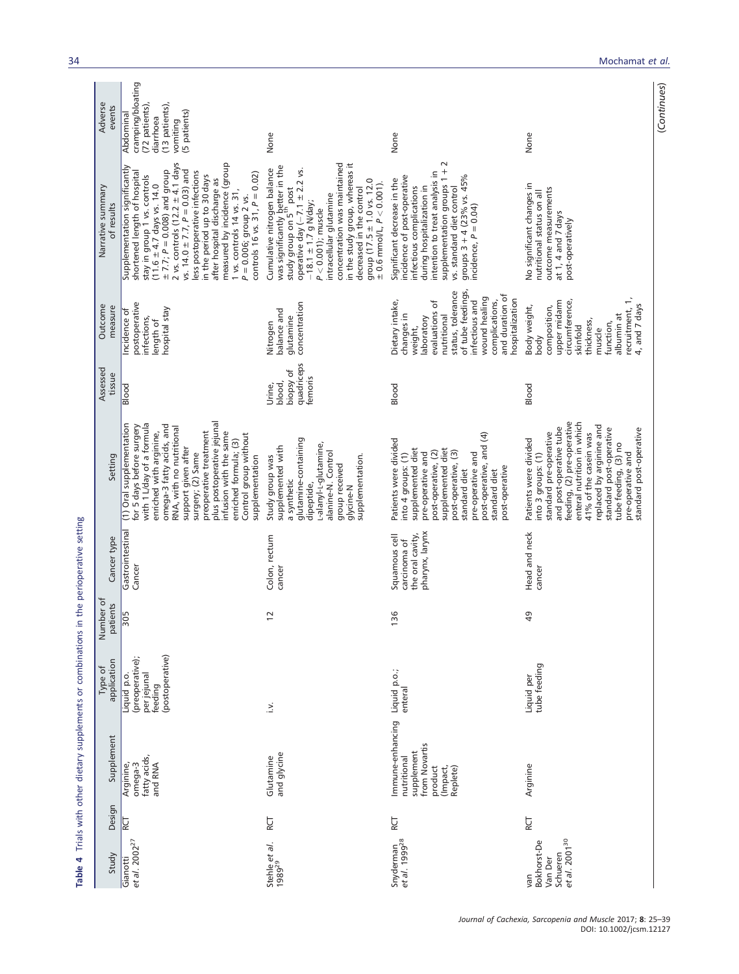Table 4 Trials with other dietary supplements or combinations in the perioperative setting Table 4 Trials with other dietary supplements or combinations in the perioperative setting

| Adverse<br>events               | cramping/bloating<br>(72 patients),<br>(13 patients),<br>(5 patients)<br>Abdominal<br>diarrhoea<br>vomiting                                                                                                                                                                                                                                                                                                                                                                      | None                                                                                                                                                                                                                                                                                                                                                                                                            | None                                                                                                                                                                                                                                                                         | None                                                                                                                                                                                                                                                                                                                 | (Continues) |
|---------------------------------|----------------------------------------------------------------------------------------------------------------------------------------------------------------------------------------------------------------------------------------------------------------------------------------------------------------------------------------------------------------------------------------------------------------------------------------------------------------------------------|-----------------------------------------------------------------------------------------------------------------------------------------------------------------------------------------------------------------------------------------------------------------------------------------------------------------------------------------------------------------------------------------------------------------|------------------------------------------------------------------------------------------------------------------------------------------------------------------------------------------------------------------------------------------------------------------------------|----------------------------------------------------------------------------------------------------------------------------------------------------------------------------------------------------------------------------------------------------------------------------------------------------------------------|-------------|
| Narrative summary<br>of results | 2 vs. controls (12.2 $\pm$ 4.1 days<br>vs. 14.0 $\pm$ 7.7, $P = 0.03$ ) and<br>measured by incidence (group<br>Supplementation significantly<br>shortened length of hospital<br>$\pm$ 7.7; $P = 0.008$ ) and group<br>less postoperative infections<br>controls 16 vs. $31, P = 0.02$ )<br>stay in group 1 vs. controls<br>(11.6 $\pm$ 4.7 days vs. 14.0<br>in the period up to 30 days<br>after hospital discharge as<br>1 vs. controls 14 vs. 31,<br>$P = 0.006$ ; group 2 vs. | concentration was maintained<br>in the study group, whereas it<br>was significantly better in the<br>study group on 5 <sup>th</sup> post<br>Cumulative nitrogen balance<br>operative day $(-7.1 \pm 2.2 \text{ vs.}$<br>group $(17.5 \pm 1.0 \text{ vs. } 12.0$<br>$\pm$ 0.6 mmol/L, $P < 0.001$ ).<br>decreased in the control<br>intracellular glutamine<br>$-18.1 \pm 1.7$ g N/day;<br>$P < 0.001$ ); muscle | supplementation groups 1 + 2<br>intention to treat analysis in<br>groups $3 + 4$ (23% vs. 45%<br>incidence of post-operative<br>Significant decrease in the<br>during hospitalization in<br>infectious complications<br>vs. standard diet control<br>incidence, $P = 0.04$ ) | No significant changes in<br>outcome measurements<br>nutritional status on all<br>at 1, 4 and 7 days<br>post-operatively                                                                                                                                                                                             |             |
| Outcome<br>measure              | postoperative<br>hospital stay<br>Incidence of<br>infections,<br>length of                                                                                                                                                                                                                                                                                                                                                                                                       | concentration<br>balance and<br>glutamine<br>Nitrogen                                                                                                                                                                                                                                                                                                                                                           | of tube feedings,<br>status, tolerance<br>and duration of<br>wound healing<br>hospitalization<br>Dietary intake,<br>infectious and<br>complications,<br>evaluations of<br>changes in<br>nutritional<br>aboratory<br>weight,                                                  | recruitment, 1,<br>circumference,<br>upper midarm<br>4, and 7 days<br>Body weight,<br>composition,<br>albumin at<br>thickness,<br>function,<br>skinfold<br>muscle<br>body                                                                                                                                            |             |
| Assessed<br>tissue              | Blood                                                                                                                                                                                                                                                                                                                                                                                                                                                                            | quadriceps<br>biopsy of<br>femoris<br>blood,<br>Urine,                                                                                                                                                                                                                                                                                                                                                          | Blood                                                                                                                                                                                                                                                                        | Blood                                                                                                                                                                                                                                                                                                                |             |
| Setting                         | plus postoperative jejunal<br>with 1 L/day of a formula<br>(1) Oral supplementation<br>omega-3 fatty acids, and<br>for 5 days before surgery<br>RNA, with no nutritional<br>preoperative treatment<br>enriched with arginine,<br>infusion with the same<br>Control group without<br>enriched formula; (3)<br>support given after<br>surgery; (2) Same<br>supplementation                                                                                                         | glutamine-containing<br>L-alanyl-L-glutamine,<br>supplemented with<br>alanine-N. Control<br>supplementation.<br>Study group was<br>group received<br>a synthetic<br>dipeptide,<br>glycine-N                                                                                                                                                                                                                     | post-operative, and (4)<br>Patients were divided<br>supplemented diet<br>supplemented diet<br>post-operative, (3)<br>post-operative, (2)<br>pre-operative and<br>into 4 groups: (1)<br>pre-operative and<br>post-operative<br>standard diet<br>standard diet                 | feeding, (2) pre-operative<br>enteral nutrition in which<br>replaced by arginine and<br>and post-operative tube<br>standard post-operative<br>standard post-operative<br>standard pre-operative<br>41% of the casein was<br>Patients were divided<br>tube feeding, (3) no<br>into 3 groups: (1)<br>pre-operative and |             |
| Cancer type                     | Gastrointestinal<br>Cancer                                                                                                                                                                                                                                                                                                                                                                                                                                                       | Colon, rectum<br>cancer                                                                                                                                                                                                                                                                                                                                                                                         | pharynx, larynx<br>the oral cavity,<br>Squamous cell<br>carcinoma of                                                                                                                                                                                                         | Head and neck<br>cancer                                                                                                                                                                                                                                                                                              |             |
| Number of<br>patients           | <b>PS</b>                                                                                                                                                                                                                                                                                                                                                                                                                                                                        | $\overline{c}$                                                                                                                                                                                                                                                                                                                                                                                                  | 136                                                                                                                                                                                                                                                                          | 49                                                                                                                                                                                                                                                                                                                   |             |
| application<br>Type of          | (postoperative)<br>(preoperative);<br>per jejunal<br>Liquid p.o.<br>feeding                                                                                                                                                                                                                                                                                                                                                                                                      | $\frac{1}{2}$                                                                                                                                                                                                                                                                                                                                                                                                   | Liquid p.o.;<br>enteral                                                                                                                                                                                                                                                      | tube feeding<br>Liquid per                                                                                                                                                                                                                                                                                           |             |
| Supplement                      | fatty acids,<br>Arginine,<br>omega-3<br>and RNA                                                                                                                                                                                                                                                                                                                                                                                                                                  | and glycine<br>Glutamine                                                                                                                                                                                                                                                                                                                                                                                        | Immune-enhancing<br>from Novartis<br>supplement<br>nutritional<br>product<br>(Impact,<br>Replete)                                                                                                                                                                            | Arginine                                                                                                                                                                                                                                                                                                             |             |
| Design                          | <b>RCT</b>                                                                                                                                                                                                                                                                                                                                                                                                                                                                       | RCT                                                                                                                                                                                                                                                                                                                                                                                                             | RCT                                                                                                                                                                                                                                                                          | RCT                                                                                                                                                                                                                                                                                                                  |             |
| Study                           | et al. 2002 <sup>27</sup><br>Gianotti                                                                                                                                                                                                                                                                                                                                                                                                                                            | Stehle et al.<br>1989 <sup>29</sup>                                                                                                                                                                                                                                                                                                                                                                             | Snyderman<br>et al. 1999 <sup>28</sup>                                                                                                                                                                                                                                       | et al. 2001 <sup>30</sup><br>Bokhorst-De<br>Schueren<br>Van Der<br>van                                                                                                                                                                                                                                               |             |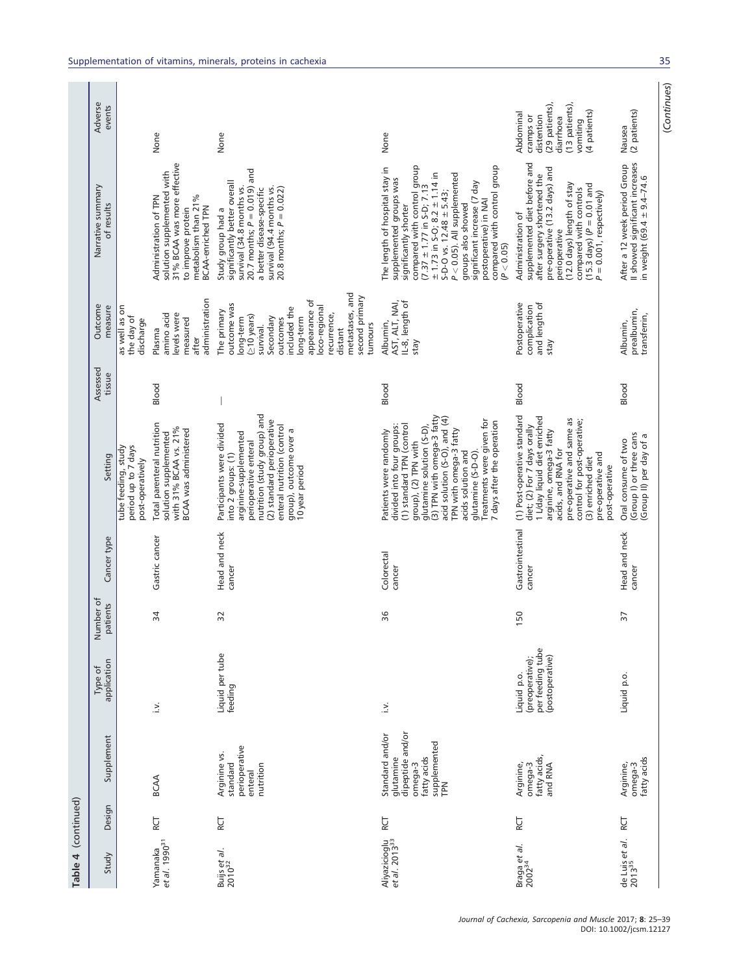| Table 4 (continued)                        |        |                                                                                                  |                                                                       |                       |                            |                                                                                                                                                                                                                                                                                                                                      |                    |                                                                                                                                                                                                                                      |                                                                                                                                                                                                                                                                                                                                                                                           |                                                                                                                   |
|--------------------------------------------|--------|--------------------------------------------------------------------------------------------------|-----------------------------------------------------------------------|-----------------------|----------------------------|--------------------------------------------------------------------------------------------------------------------------------------------------------------------------------------------------------------------------------------------------------------------------------------------------------------------------------------|--------------------|--------------------------------------------------------------------------------------------------------------------------------------------------------------------------------------------------------------------------------------|-------------------------------------------------------------------------------------------------------------------------------------------------------------------------------------------------------------------------------------------------------------------------------------------------------------------------------------------------------------------------------------------|-------------------------------------------------------------------------------------------------------------------|
| Study                                      | Design | Supplement                                                                                       | application<br>Type of                                                | Number of<br>patients | Cancer type                | Setting                                                                                                                                                                                                                                                                                                                              | Assessed<br>tissue | Outcome<br>measure                                                                                                                                                                                                                   | Narrative summary<br>of results                                                                                                                                                                                                                                                                                                                                                           | Adverse<br>events                                                                                                 |
| et al. 1990 <sup>31</sup><br>Yamanaka      | ĔД     | <b>BCAA</b>                                                                                      | $\frac{1}{2}$                                                         | 34                    | Gastric cancer             | Total parenteral nutrition<br>with 31% BCAA vs. 21%<br>BCAA was administered<br>solution supplemented<br>tube feeding, study<br>period up to 7 days<br>post-operatively                                                                                                                                                              | Blood              | administration<br>as well as on<br>amino acid<br>evels were<br>the day of<br>measured<br>discharge<br>Plasma<br>after                                                                                                                | 31% BCAA was more effective<br>solution supplemented with<br>Administration of TPN<br>metabolism than 21%<br><b>BCAA-enriched TPN</b><br>to improve protein                                                                                                                                                                                                                               | None                                                                                                              |
| Buijs et al.<br>2010 <sup>32</sup>         | RCT    | perioperative<br>Arginine vs.<br>standard<br>nutrition<br>enteral                                | Liquid per tube<br>feeding                                            | 32                    | Head and neck<br>cancer    | nutrition (study group) and<br>(2) standard perioperative<br>Participants were divided<br>enteral nutrition (control<br>group), outcome over a<br>arginine-supplemented<br>perioperative enteral<br>into 2 groups: (1)<br>10 year period                                                                                             |                    | metastases, and<br>second primary<br>appearance of<br>outcome was<br>loco-regional<br>included the<br>The primary<br>recurrence,<br>(≥10 years)<br>Secondary<br>long-term<br>ong-term<br>outcomes<br>tumours<br>survival.<br>distant | 20.7 months; $P = 0.019$ ) and<br>significantly better overall<br>survival (34.8 months vs.<br>survival (94.4 months vs.<br>20.8 months; $P = 0.022$ )<br>a better disease-specific<br>Study group had a                                                                                                                                                                                  | None                                                                                                              |
| Aliyazicioglu<br>et al. 2013 <sup>33</sup> | RCT    | dipeptide and/or<br>Standard and/or<br>supplemented<br>fatty acids<br>glutamine<br>omega-3<br>FN | $\ddot{=}$                                                            | 36                    | Colorectal<br>cancer       | (3) TPN with omega-3 fatty<br>acid solution (S-O), and (4)<br>Treatments were given for<br>7 days after the operation<br>(1) standard TPN (control<br>divided into four groups:<br>glutamine solution (S-D),<br>TPN with omega-3 fatty<br>Patients were randomly<br>group), (2) TPN with<br>acids solution and<br>glutamine (S-D-O). | Blood              | IL-8, length of<br>AST, ALT, NAI,<br>Albumin,<br>stay                                                                                                                                                                                | compared with control group<br>compared with control group<br>The length of hospital stay in<br>$\pm$ 1.73 in S-O; 8.2 $\pm$ 1.14 in<br>$P < 0.05$ ). All supplemented<br>supplemented groups was<br>significant increase (7 day<br>$(7.37 \pm 1.77$ in S-D; 7.13<br>$S-D-O$ vs. $12.48 \pm 5.43$ ;<br>postoperative) in NAI<br>groups also showed<br>significantly shorter<br>(P < 0.05) | None                                                                                                              |
| Braga et al.<br>$2002^{34}$                | RCT    | fatty acids,<br>Arginine,<br>omega-3<br>and RNA                                                  | per feeding tube<br>(postoperative)<br>(preoperative);<br>Liquid p.o. | 150                   | Gastrointestinal<br>cancer | (1) Post-operative standard<br>1 L/day liquid diet enriched<br>pre-operative and same as<br>control for post-operative;<br>diet; (2) For 7 days orally<br>arginine, omega-3 fatty<br>acids, and RNA for<br>pre-operative and<br>(3) enriched diet<br>post-operative                                                                  | Blood              | and length of<br>Postoperative<br>complication<br>stay                                                                                                                                                                               | supplemented diet before and<br>pre-operative (13.2 days) and<br>after surgery shortened the<br>(12.0 days) length of stay<br>$(15.3 \text{ days}) (P = 0.01 \text{ and}$<br>compared with controls<br>$P = 0.001$ , respectively)<br>Administration of<br>perioperative                                                                                                                  | (13 patients),<br>(29 patients),<br>(4 patients)<br>Abdominal<br>distention<br>cramps or<br>diarrhoea<br>vomiting |
| de Luis et al.<br>$2013^{35}$              | RCT    | fatty acids<br>Arginine,<br>omega-3                                                              | Liquid p.o.                                                           | 27                    | Head and neck<br>cancer    | (Group I) or three cans<br>(Group II) per day of a<br>Oral consume of two                                                                                                                                                                                                                                                            | Blood              | prealbumin,<br>transferrin,<br>Albumin,                                                                                                                                                                                              | Il showed significant increases<br>After a 12 week period Group<br>in weight (69.4 ± 9.4-74.6                                                                                                                                                                                                                                                                                             | (2 patients)<br>Nausea                                                                                            |

(Continues) (Continues)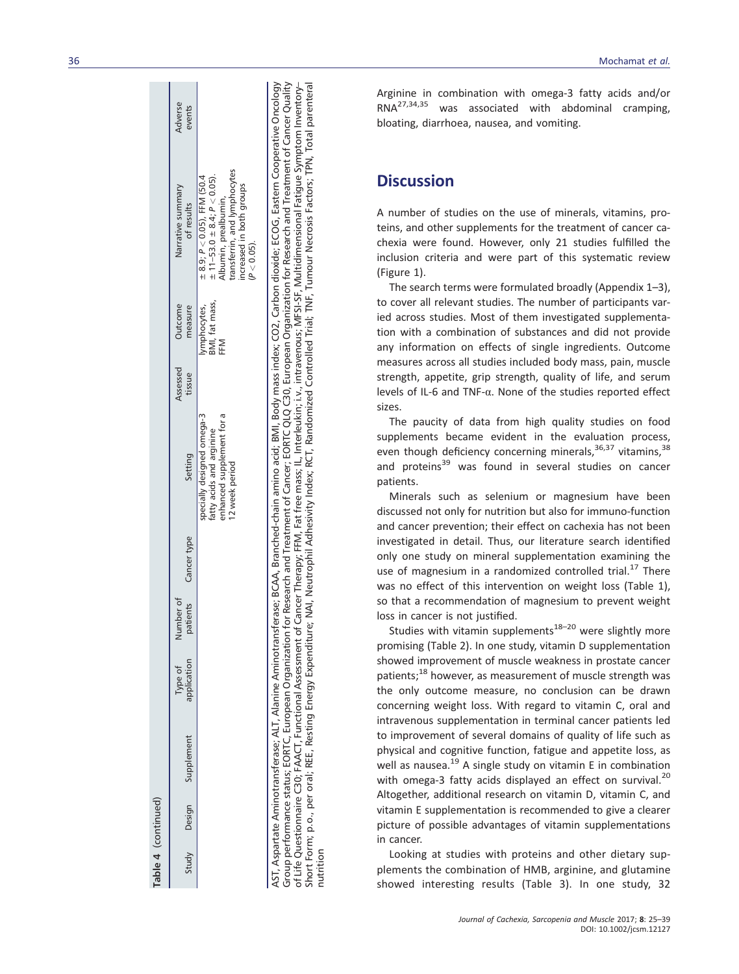| Table 4 (continued) |                         |                        |           |                      |                                                                                                       |                    |                                      |                                                                                                                                                                                   |                   |
|---------------------|-------------------------|------------------------|-----------|----------------------|-------------------------------------------------------------------------------------------------------|--------------------|--------------------------------------|-----------------------------------------------------------------------------------------------------------------------------------------------------------------------------------|-------------------|
|                     | Study Design Supplement | Type of<br>application | Number of | patients Cancer type | Setting                                                                                               | Assessed<br>tissue | Outcome<br>measure                   | Narrative summary<br>of results                                                                                                                                                   | Adverse<br>events |
|                     |                         |                        |           |                      | enhanced supplement for a<br>specially designed omega-3<br>fatty acids and arginine<br>12 week period |                    | BMI, fat mass,<br>ymphocytes,<br>FFM | transferrin, and lymphocytes<br>$\pm$ 11–53.0 $\pm$ 8.4; $P < 0.05$ ).<br>$\pm$ 8.9; P $<$ 0.05), FFM (50.4<br>increased in both groups<br>Albumin, prealbumin,<br>$(P < 0.05)$ . |                   |
|                     |                         |                        |           |                      |                                                                                                       |                    |                                      | AST Aspartate Aminotraprase: ALT Alaning Aminotrapsferase: RCAA Branched-chain amino acid. Roll mass indev: CO2 Carbon dioxide: ECOG Eastern Connective Oncology                  |                   |

האון האפשו מפי היווחטים והוא בית האווחטים והשופחה להתקופת האות המשורש השולחה של המשורש האו המשורש המשורש המשור<br>Group performance status; EORTC, European Organization for Research and Treatment of Cancer; EORTC QLQ C30, Eu of Life Questionnaire C30; FAACT, Functional Assessment of Cancer Therapy; FFM, Fat free mass; IL, Interleukin; i.v., intravenous; MFSI-SF, Multidimensional Fatigue Symptom Inventory—<br>Short Form; p.o., per oral; REE, Resti AST, Aspartate Aminotransferase; ALT, Alanine Aminotransferase; BCAA, Branched-chain amino acid; BMI, Body mass index; CO2, Carbon dioxide; ECOG, Eastern Cooperative Oncology Group performance status; EORTC, European Organization for Research and Treatment of Cancer; EORTC QLQ C30, European Organization for Research and Treatment of Cancer Quality of Life Questionnaire C30; FAACT, Functional Assessment of Cancer Therapy; FFM, Fat free mass; IL, Interleukin; i.v., intravenous; MFSI-SF, Multidimensional Fatigue Symptom Inventory– Short Form; p.o., per oral; REE, Resting Energy Expenditure; NAI, Neutrophil Adhesivity Index; RCT, Randomized Controlled Trial; TNF, Tumour Necrosis Factors; TPN, Total parenteral nutrition

36 Mochamat et al.

Arginine in combination with omega-3 fatty acids and/or<br>RNA<sup>27,34,35</sup> was associated with abdominal cramning was associated with abdominal cramping, bloating, diarrhoea, nausea, and vomiting.

# **Discussion**

A number of studies on the use of minerals, vitamins, proteins, and other supplements for the treatment of cancer cachexia were found. However, only 21 studies fulfilled the inclusion criteria and were part of this systematic review (Figure 1).

The search terms were formulated broadly (Appendix 1 –3), to cover all relevant studies. The number of participants varied across studies. Most of them investigated supplementation with a combination of substances and did not provide any information on effects of single ingredients. Outcome measures across all studies included body mass, pain, muscle strength, appetite, grip strength, quality of life, and serum levels of IL-6 and TNF-α. None of the studies reported effect sizes.

The paucity of data from high quality studies on food supplements became evident in the evaluation process, even though deficiency concerning minerals,<sup>36,37</sup> vitamins,<sup>38</sup> and proteins<sup>39</sup> was found in several studies on cancer patients.

Minerals such as selenium or magnesium have been discussed not only for nutrition but also for immuno-function and cancer prevention; their effect on cachexia has not been investigated in detail. Thus, our literature search identi fied only one study on mineral supplementation examining the use of magnesium in a randomized controlled trial.<sup>17</sup> There was no effect of this intervention on weight loss (Table 1), so that a recommendation of magnesium to prevent weight loss in cancer is not justi fied.

Studies with vitamin supplements<sup>18–20</sup> were slightly more promising (Table 2). In one study, vitamin D supplementation showed improvement of muscle weakness in prostate cancer patients;<sup>18</sup> however, as measurement of muscle strength was the only outcome measure, no conclusion can be drawn concerning weight loss. With regard to vitamin C, oral and intravenous supplementation in terminal cancer patients led to improvement of several domains of quality of life such as physical and cognitive function, fatigue and appetite loss, as well as nausea.<sup>19</sup> A single study on vitamin E in combination with omega-3 fatty acids displayed an effect on survival.<sup>20</sup> Altogether, additional research on vitamin D, vitamin C, and vitamin E supplementation is recommended to give a clearer picture of possible advantages of vitamin supplementations in cancer.

Looking at studies with proteins and other dietary supplements the combination of HMB, arginine, and glutamine showed interesting results (Table 3). In one study, 32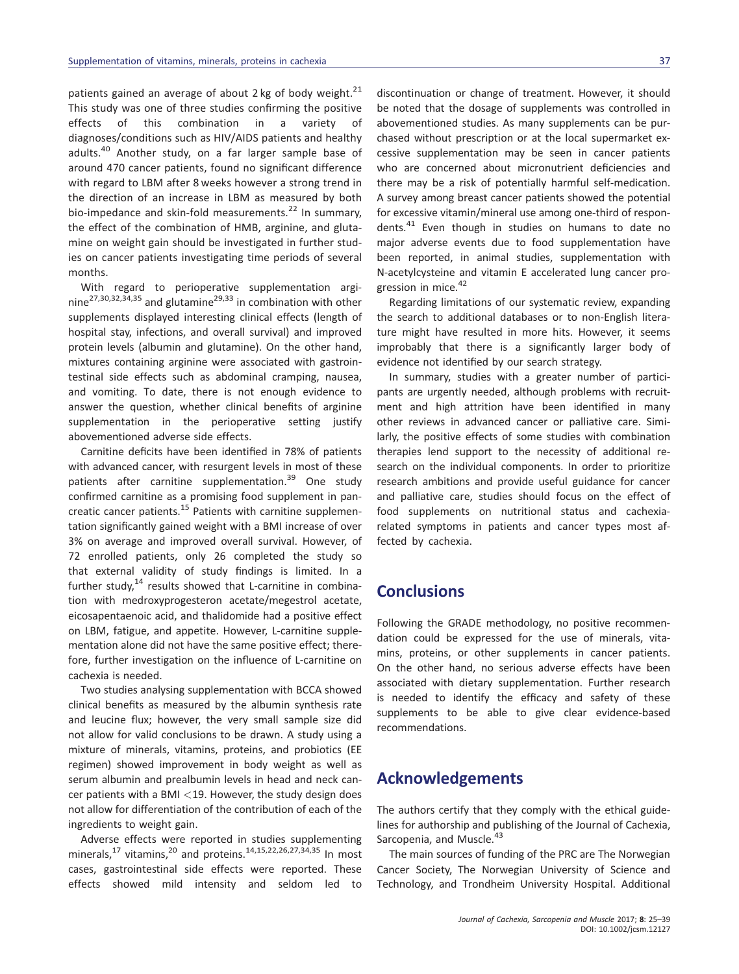patients gained an average of about 2 kg of body weight. $21$ This study was one of three studies confirming the positive effects of this combination in a variety of diagnoses/conditions such as HIV/AIDS patients and healthy adults.<sup>40</sup> Another study, on a far larger sample base of around 470 cancer patients, found no significant difference with regard to LBM after 8 weeks however a strong trend in the direction of an increase in LBM as measured by both bio-impedance and skin-fold measurements.<sup>22</sup> In summary, the effect of the combination of HMB, arginine, and glutamine on weight gain should be investigated in further studies on cancer patients investigating time periods of several months.

With regard to perioperative supplementation arginine<sup>27,30,32,34,35</sup> and glutamine<sup>29,33</sup> in combination with other supplements displayed interesting clinical effects (length of hospital stay, infections, and overall survival) and improved protein levels (albumin and glutamine). On the other hand, mixtures containing arginine were associated with gastrointestinal side effects such as abdominal cramping, nausea, and vomiting. To date, there is not enough evidence to answer the question, whether clinical benefits of arginine supplementation in the perioperative setting justify abovementioned adverse side effects.

Carnitine deficits have been identified in 78% of patients with advanced cancer, with resurgent levels in most of these patients after carnitine supplementation.<sup>39</sup> One study confirmed carnitine as a promising food supplement in pancreatic cancer patients.<sup>15</sup> Patients with carnitine supplementation significantly gained weight with a BMI increase of over 3% on average and improved overall survival. However, of 72 enrolled patients, only 26 completed the study so that external validity of study findings is limited. In a further study, $14$  results showed that L-carnitine in combination with medroxyprogesteron acetate/megestrol acetate, eicosapentaenoic acid, and thalidomide had a positive effect on LBM, fatigue, and appetite. However, L-carnitine supplementation alone did not have the same positive effect; therefore, further investigation on the influence of L-carnitine on cachexia is needed.

Two studies analysing supplementation with BCCA showed clinical benefits as measured by the albumin synthesis rate and leucine flux; however, the very small sample size did not allow for valid conclusions to be drawn. A study using a mixture of minerals, vitamins, proteins, and probiotics (EE regimen) showed improvement in body weight as well as serum albumin and prealbumin levels in head and neck cancer patients with a BMI  $<$  19. However, the study design does not allow for differentiation of the contribution of each of the ingredients to weight gain.

Adverse effects were reported in studies supplementing minerals,<sup>17</sup> vitamins,<sup>20</sup> and proteins.<sup>14,15,22,26,27,34,35</sup> In most cases, gastrointestinal side effects were reported. These effects showed mild intensity and seldom led to

discontinuation or change of treatment. However, it should be noted that the dosage of supplements was controlled in abovementioned studies. As many supplements can be purchased without prescription or at the local supermarket excessive supplementation may be seen in cancer patients who are concerned about micronutrient deficiencies and there may be a risk of potentially harmful self-medication. A survey among breast cancer patients showed the potential for excessive vitamin/mineral use among one-third of respondents.<sup>41</sup> Even though in studies on humans to date no major adverse events due to food supplementation have been reported, in animal studies, supplementation with N-acetylcysteine and vitamin E accelerated lung cancer progression in mice.<sup>42</sup>

Regarding limitations of our systematic review, expanding the search to additional databases or to non-English literature might have resulted in more hits. However, it seems improbably that there is a significantly larger body of evidence not identified by our search strategy.

In summary, studies with a greater number of participants are urgently needed, although problems with recruitment and high attrition have been identified in many other reviews in advanced cancer or palliative care. Similarly, the positive effects of some studies with combination therapies lend support to the necessity of additional research on the individual components. In order to prioritize research ambitions and provide useful guidance for cancer and palliative care, studies should focus on the effect of food supplements on nutritional status and cachexiarelated symptoms in patients and cancer types most affected by cachexia.

# **Conclusions**

Following the GRADE methodology, no positive recommendation could be expressed for the use of minerals, vitamins, proteins, or other supplements in cancer patients. On the other hand, no serious adverse effects have been associated with dietary supplementation. Further research is needed to identify the efficacy and safety of these supplements to be able to give clear evidence-based recommendations.

## Acknowledgements

The authors certify that they comply with the ethical guidelines for authorship and publishing of the Journal of Cachexia, Sarcopenia, and Muscle.<sup>43</sup>

The main sources of funding of the PRC are The Norwegian Cancer Society, The Norwegian University of Science and Technology, and Trondheim University Hospital. Additional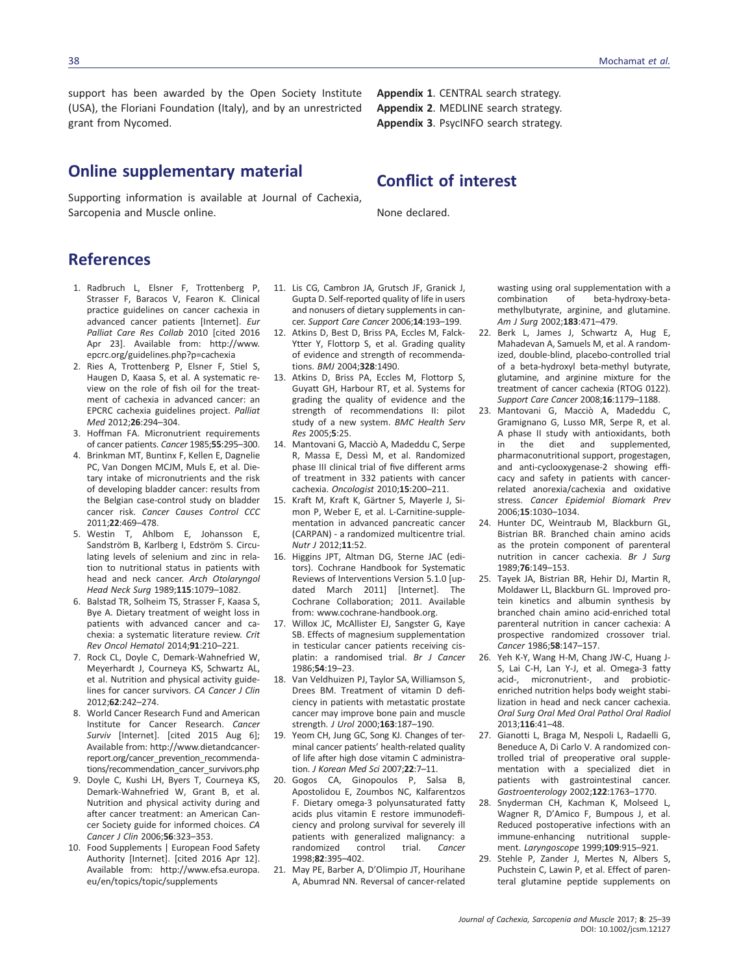support has been awarded by the Open Society Institute (USA), the Floriani Foundation (Italy), and by an unrestricted grant from Nycomed.

# Online supplementary material

Supporting information is available at Journal of Cachexia, Sarcopenia and Muscle online.

Appendix 1. CENTRAL search strategy. Appendix 2. MEDLINE search strategy. Appendix 3. PsycINFO search strategy.

# Conflict of interest

None declared.

# References

- 1. Radbruch L, Elsner F, Trottenberg P, Strasser F, Baracos V, Fearon K. Clinical practice guidelines on cancer cachexia in advanced cancer patients [Internet]. Eur Palliat Care Res Collab 2010 [cited 2016 Apr 23]. Available from: [http://www.](http://www.epcrc.org/guidelines.php?p=cachexia) [epcrc.org/guidelines.php?p=cachexia](http://www.epcrc.org/guidelines.php?p=cachexia)
- 2. Ries A, Trottenberg P, Elsner F, Stiel S, Haugen D, Kaasa S, et al. A systematic review on the role of fish oil for the treatment of cachexia in advanced cancer: an EPCRC cachexia guidelines project. Palliat Med 2012;26:294–304.
- 3. Hoffman FA. Micronutrient requirements of cancer patients. Cancer 1985;55:295–300.
- 4. Brinkman MT, Buntinx F, Kellen E, Dagnelie PC, Van Dongen MCJM, Muls E, et al. Dietary intake of micronutrients and the risk of developing bladder cancer: results from the Belgian case-control study on bladder cancer risk. Cancer Causes Control CCC 2011;22:469–478.
- 5. Westin T, Ahlbom E, Johansson E, Sandström B, Karlberg I, Edström S. Circulating levels of selenium and zinc in relation to nutritional status in patients with head and neck cancer. Arch Otolaryngol Head Neck Surg 1989;115:1079–1082.
- 6. Balstad TR, Solheim TS, Strasser F, Kaasa S, Bye A. Dietary treatment of weight loss in patients with advanced cancer and cachexia: a systematic literature review. Crit Rev Oncol Hematol 2014;91:210–221.
- 7. Rock CL, Doyle C, Demark-Wahnefried W, Meyerhardt J, Courneya KS, Schwartz AL, et al. Nutrition and physical activity guidelines for cancer survivors. CA Cancer J Clin 2012;62:242–274.
- 8. World Cancer Research Fund and American Institute for Cancer Research. Cancer Surviv [Internet]. [cited 2015 Aug 6]; Available from: [http://www.dietandcancer](http://www.dietandcancerreport.org/cancer_prevention_recommendations/recommendation_cancer_survivors.php)[report.org/cancer\\_prevention\\_recommenda](http://www.dietandcancerreport.org/cancer_prevention_recommendations/recommendation_cancer_survivors.php)[tions/recommendation\\_cancer\\_survivors.php](http://www.dietandcancerreport.org/cancer_prevention_recommendations/recommendation_cancer_survivors.php)
- 9. Doyle C, Kushi LH, Byers T, Courneya KS, Demark-Wahnefried W, Grant B, et al. Nutrition and physical activity during and after cancer treatment: an American Cancer Society guide for informed choices. CA Cancer J Clin 2006;56:323–353.
- 10. Food Supplements | European Food Safety Authority [Internet]. [cited 2016 Apr 12]. Available from: [http://www.efsa.europa.](http://www.efsa.europa.eu/en/topics/topic/supplements) [eu/en/topics/topic/supplements](http://www.efsa.europa.eu/en/topics/topic/supplements)
- 11. Lis CG, Cambron JA, Grutsch JF, Granick J, Gupta D. Self-reported quality of life in users and nonusers of dietary supplements in cancer. Support Care Cancer 2006;14:193-199.
- 12. Atkins D, Best D, Briss PA, Eccles M, Falck-Ytter Y, Flottorp S, et al. Grading quality of evidence and strength of recommendations. BMJ 2004;328:1490.
- 13. Atkins D, Briss PA, Eccles M, Flottorp S, Guyatt GH, Harbour RT, et al. Systems for grading the quality of evidence and the strength of recommendations II: pilot study of a new system. BMC Health Serv Res 2005;5:25.
- 14. Mantovani G, Macciò A, Madeddu C, Serpe R, Massa E, Dessì M, et al. Randomized phase III clinical trial of five different arms of treatment in 332 patients with cancer cachexia. Oncologist 2010;15:200–211.
- 15. Kraft M, Kraft K, Gärtner S, Mayerle J, Simon P, Weber E, et al. L-Carnitine-supplementation in advanced pancreatic cancer (CARPAN) - a randomized multicentre trial. Nutr J 2012;11:52.
- 16. Higgins JPT, Altman DG, Sterne JAC (editors). Cochrane Handbook for Systematic Reviews of Interventions Version 5.1.0 [updated March 2011] [Internet]. The Cochrane Collaboration; 2011. Available from: [www.cochrane-handbook.org](http://www.cochrane-handbook.org).
- 17. Willox JC, McAllister EJ, Sangster G, Kaye SB. Effects of magnesium supplementation in testicular cancer patients receiving cisplatin: a randomised trial. Br J Cancer 1986;54:19–23.
- 18. Van Veldhuizen PJ, Taylor SA, Williamson S, Drees BM. Treatment of vitamin D deficiency in patients with metastatic prostate cancer may improve bone pain and muscle strength. J Urol 2000;163:187–190.
- 19. Yeom CH, Jung GC, Song KJ. Changes of terminal cancer patients' health-related quality of life after high dose vitamin C administration. J Korean Med Sci 2007;22:7–11.
- 20. Gogos CA, Ginopoulos P, Salsa B, Apostolidou E, Zoumbos NC, Kalfarentzos F. Dietary omega-3 polyunsaturated fatty acids plus vitamin E restore immunodeficiency and prolong survival for severely ill patients with generalized malignancy: a randomized control trial. Cancer 1998;82:395–402.
- 21. May PE, Barber A, D'Olimpio JT, Hourihane A, Abumrad NN. Reversal of cancer-related

wasting using oral supplementation with a<br>combination of beta-hydroxy-betacombination of beta-hydroxy-betamethylbutyrate, arginine, and glutamine. Am J Surg 2002;183:471–479.

- 22. Berk L, James J, Schwartz A, Hug E, Mahadevan A, Samuels M, et al. A randomized, double-blind, placebo-controlled trial of a beta-hydroxyl beta-methyl butyrate, glutamine, and arginine mixture for the treatment of cancer cachexia (RTOG 0122). Support Care Cancer 2008;16:1179–1188.
- 23. Mantovani G, Macciò A, Madeddu C, Gramignano G, Lusso MR, Serpe R, et al. A phase II study with antioxidants, both in the diet and supplemented, pharmaconutritional support, progestagen, and anti-cyclooxygenase-2 showing efficacy and safety in patients with cancerrelated anorexia/cachexia and oxidative stress. Cancer Epidemiol Biomark Prev 2006;15:1030–1034.
- 24. Hunter DC, Weintraub M, Blackburn GL, Bistrian BR. Branched chain amino acids as the protein component of parenteral nutrition in cancer cachexia. Br J Surg 1989;76:149–153.
- 25. Tayek JA, Bistrian BR, Hehir DJ, Martin R, Moldawer LL, Blackburn GL. Improved protein kinetics and albumin synthesis by branched chain amino acid-enriched total parenteral nutrition in cancer cachexia: A prospective randomized crossover trial. Cancer 1986;58:147–157.
- 26. Yeh K-Y, Wang H-M, Chang JW-C, Huang J-S, Lai C-H, Lan Y-J, et al. Omega-3 fatty acid-, micronutrient-, and probioticenriched nutrition helps body weight stabilization in head and neck cancer cachexia. Oral Surg Oral Med Oral Pathol Oral Radiol 2013;116:41–48.
- 27. Gianotti L, Braga M, Nespoli L, Radaelli G, Beneduce A, Di Carlo V. A randomized controlled trial of preoperative oral supplementation with a specialized diet in patients with gastrointestinal cancer. Gastroenterology 2002;122:1763–1770.
- 28. Snyderman CH, Kachman K, Molseed L, Wagner R, D'Amico F, Bumpous J, et al. Reduced postoperative infections with an immune-enhancing nutritional supplement. Laryngoscope 1999;109:915–921.
- 29. Stehle P, Zander J, Mertes N, Albers S, Puchstein C, Lawin P, et al. Effect of parenteral glutamine peptide supplements on